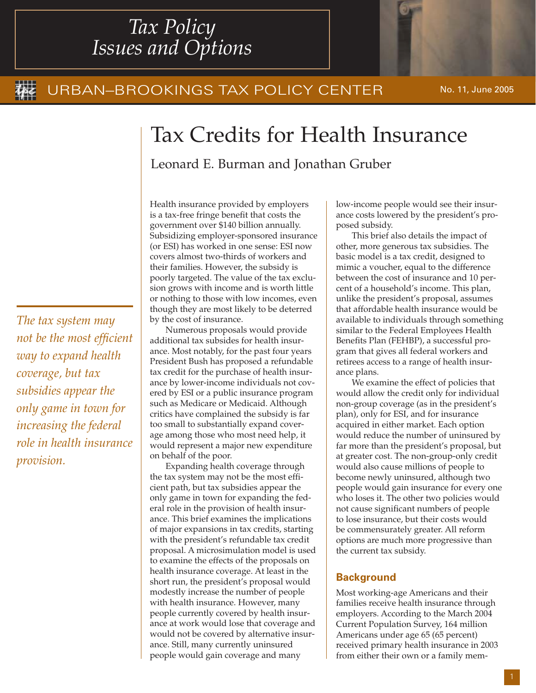## *Tax Policy Issues and Options*

#### the URBAN–BROOKINGS TAX POLICY CENTER No. 11, June 2005

# Tax Credits for Health Insurance

Leonard E. Burman and Jonathan Gruber

*The tax system may not be the most efficient way to expand health coverage, but tax subsidies appear the only game in town for increasing the federal role in health insurance provision.*

Health insurance provided by employers is a tax-free fringe benefit that costs the government over \$140 billion annually. Subsidizing employer-sponsored insurance (or ESI) has worked in one sense: ESI now covers almost two-thirds of workers and their families. However, the subsidy is poorly targeted. The value of the tax exclusion grows with income and is worth little or nothing to those with low incomes, even though they are most likely to be deterred by the cost of insurance.

Numerous proposals would provide additional tax subsides for health insurance. Most notably, for the past four years President Bush has proposed a refundable tax credit for the purchase of health insurance by lower-income individuals not covered by ESI or a public insurance program such as Medicare or Medicaid. Although critics have complained the subsidy is far too small to substantially expand coverage among those who most need help, it would represent a major new expenditure on behalf of the poor.

Expanding health coverage through the tax system may not be the most efficient path, but tax subsidies appear the only game in town for expanding the federal role in the provision of health insurance. This brief examines the implications of major expansions in tax credits, starting with the president's refundable tax credit proposal. A microsimulation model is used to examine the effects of the proposals on health insurance coverage. At least in the short run, the president's proposal would modestly increase the number of people with health insurance. However, many people currently covered by health insurance at work would lose that coverage and would not be covered by alternative insurance. Still, many currently uninsured people would gain coverage and many

low-income people would see their insurance costs lowered by the president's proposed subsidy.

This brief also details the impact of other, more generous tax subsidies. The basic model is a tax credit, designed to mimic a voucher, equal to the difference between the cost of insurance and 10 percent of a household's income. This plan, unlike the president's proposal, assumes that affordable health insurance would be available to individuals through something similar to the Federal Employees Health Benefits Plan (FEHBP), a successful program that gives all federal workers and retirees access to a range of health insurance plans.

We examine the effect of policies that would allow the credit only for individual non-group coverage (as in the president's plan), only for ESI, and for insurance acquired in either market. Each option would reduce the number of uninsured by far more than the president's proposal, but at greater cost. The non-group-only credit would also cause millions of people to become newly uninsured, although two people would gain insurance for every one who loses it. The other two policies would not cause significant numbers of people to lose insurance, but their costs would be commensurately greater. All reform options are much more progressive than the current tax subsidy.

### **Background**

Most working-age Americans and their families receive health insurance through employers. According to the March 2004 Current Population Survey, 164 million Americans under age 65 (65 percent) received primary health insurance in 2003 from either their own or a family mem-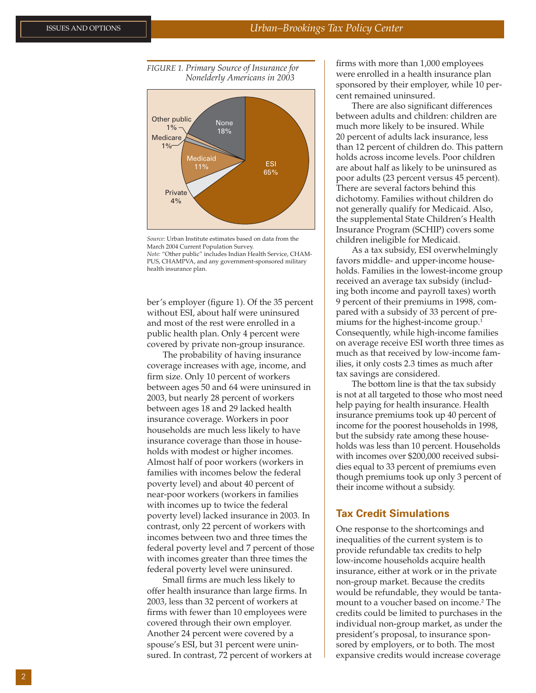



*Source:* Urban Institute estimates based on data from the March 2004 Current Population Survey. *Note:* "Other public" includes Indian Health Service, CHAM-PUS, CHAMPVA, and any government-sponsored military health insurance plan.

ber's employer (figure 1). Of the 35 percent without ESI, about half were uninsured and most of the rest were enrolled in a public health plan. Only 4 percent were covered by private non-group insurance.

The probability of having insurance coverage increases with age, income, and firm size. Only 10 percent of workers between ages 50 and 64 were uninsured in 2003, but nearly 28 percent of workers between ages 18 and 29 lacked health insurance coverage. Workers in poor households are much less likely to have insurance coverage than those in households with modest or higher incomes. Almost half of poor workers (workers in families with incomes below the federal poverty level) and about 40 percent of near-poor workers (workers in families with incomes up to twice the federal poverty level) lacked insurance in 2003. In contrast, only 22 percent of workers with incomes between two and three times the federal poverty level and 7 percent of those with incomes greater than three times the federal poverty level were uninsured.

Small firms are much less likely to offer health insurance than large firms. In 2003, less than 32 percent of workers at firms with fewer than 10 employees were covered through their own employer. Another 24 percent were covered by a spouse's ESI, but 31 percent were uninsured. In contrast, 72 percent of workers at firms with more than 1,000 employees were enrolled in a health insurance plan sponsored by their employer, while 10 percent remained uninsured.

There are also significant differences between adults and children: children are much more likely to be insured. While 20 percent of adults lack insurance, less than 12 percent of children do. This pattern holds across income levels. Poor children are about half as likely to be uninsured as poor adults (23 percent versus 45 percent). There are several factors behind this dichotomy. Families without children do not generally qualify for Medicaid. Also, the supplemental State Children's Health Insurance Program (SCHIP) covers some children ineligible for Medicaid.

As a tax subsidy, ESI overwhelmingly favors middle- and upper-income households. Families in the lowest-income group received an average tax subsidy (including both income and payroll taxes) worth 9 percent of their premiums in 1998, compared with a subsidy of 33 percent of premiums for the highest-income group.<sup>1</sup> Consequently, while high-income families on average receive ESI worth three times as much as that received by low-income families, it only costs 2.3 times as much after tax savings are considered.

The bottom line is that the tax subsidy is not at all targeted to those who most need help paying for health insurance. Health insurance premiums took up 40 percent of income for the poorest households in 1998, but the subsidy rate among these households was less than 10 percent. Households with incomes over \$200,000 received subsidies equal to 33 percent of premiums even though premiums took up only 3 percent of their income without a subsidy.

#### **Tax Credit Simulations**

One response to the shortcomings and inequalities of the current system is to provide refundable tax credits to help low-income households acquire health insurance, either at work or in the private non-group market. Because the credits would be refundable, they would be tantamount to a voucher based on income.2 The credits could be limited to purchases in the individual non-group market, as under the president's proposal, to insurance sponsored by employers, or to both. The most expansive credits would increase coverage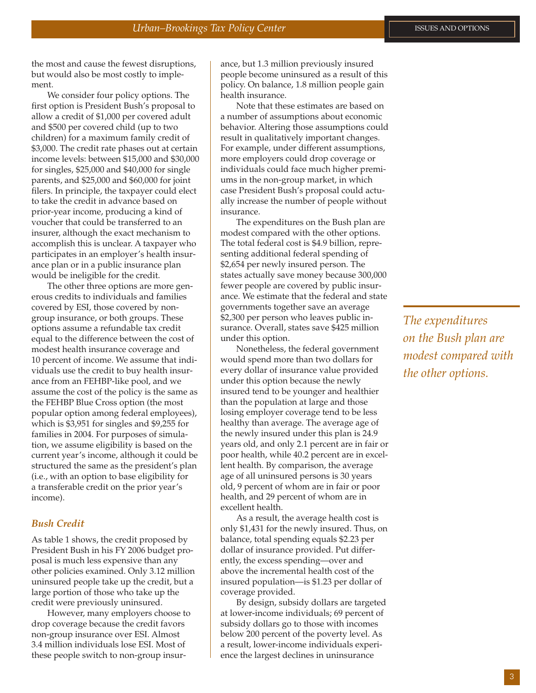the most and cause the fewest disruptions, but would also be most costly to implement.

We consider four policy options. The first option is President Bush's proposal to allow a credit of \$1,000 per covered adult and \$500 per covered child (up to two children) for a maximum family credit of \$3,000. The credit rate phases out at certain income levels: between \$15,000 and \$30,000 for singles, \$25,000 and \$40,000 for single parents, and \$25,000 and \$60,000 for joint filers. In principle, the taxpayer could elect to take the credit in advance based on prior-year income, producing a kind of voucher that could be transferred to an insurer, although the exact mechanism to accomplish this is unclear. A taxpayer who participates in an employer's health insurance plan or in a public insurance plan would be ineligible for the credit.

The other three options are more generous credits to individuals and families covered by ESI, those covered by nongroup insurance, or both groups. These options assume a refundable tax credit equal to the difference between the cost of modest health insurance coverage and 10 percent of income. We assume that individuals use the credit to buy health insurance from an FEHBP-like pool, and we assume the cost of the policy is the same as the FEHBP Blue Cross option (the most popular option among federal employees), which is \$3,951 for singles and \$9,255 for families in 2004. For purposes of simulation, we assume eligibility is based on the current year's income, although it could be structured the same as the president's plan (i.e., with an option to base eligibility for a transferable credit on the prior year's income).

#### *Bush Credit*

As table 1 shows, the credit proposed by President Bush in his FY 2006 budget proposal is much less expensive than any other policies examined. Only 3.12 million uninsured people take up the credit, but a large portion of those who take up the credit were previously uninsured.

However, many employers choose to drop coverage because the credit favors non-group insurance over ESI. Almost 3.4 million individuals lose ESI. Most of these people switch to non-group insurance, but 1.3 million previously insured people become uninsured as a result of this policy. On balance, 1.8 million people gain health insurance.

Note that these estimates are based on a number of assumptions about economic behavior. Altering those assumptions could result in qualitatively important changes. For example, under different assumptions, more employers could drop coverage or individuals could face much higher premiums in the non-group market, in which case President Bush's proposal could actually increase the number of people without insurance.

The expenditures on the Bush plan are modest compared with the other options. The total federal cost is \$4.9 billion, representing additional federal spending of \$2,654 per newly insured person. The states actually save money because 300,000 fewer people are covered by public insurance. We estimate that the federal and state governments together save an average \$2,300 per person who leaves public insurance. Overall, states save \$425 million under this option.

Nonetheless, the federal government would spend more than two dollars for every dollar of insurance value provided under this option because the newly insured tend to be younger and healthier than the population at large and those losing employer coverage tend to be less healthy than average. The average age of the newly insured under this plan is 24.9 years old, and only 2.1 percent are in fair or poor health, while 40.2 percent are in excellent health. By comparison, the average age of all uninsured persons is 30 years old, 9 percent of whom are in fair or poor health, and 29 percent of whom are in excellent health.

As a result, the average health cost is only \$1,431 for the newly insured. Thus, on balance, total spending equals \$2.23 per dollar of insurance provided. Put differently, the excess spending—over and above the incremental health cost of the insured population—is \$1.23 per dollar of coverage provided.

By design, subsidy dollars are targeted at lower-income individuals; 69 percent of subsidy dollars go to those with incomes below 200 percent of the poverty level. As a result, lower-income individuals experience the largest declines in uninsurance

*The expenditures on the Bush plan are modest compared with the other options.*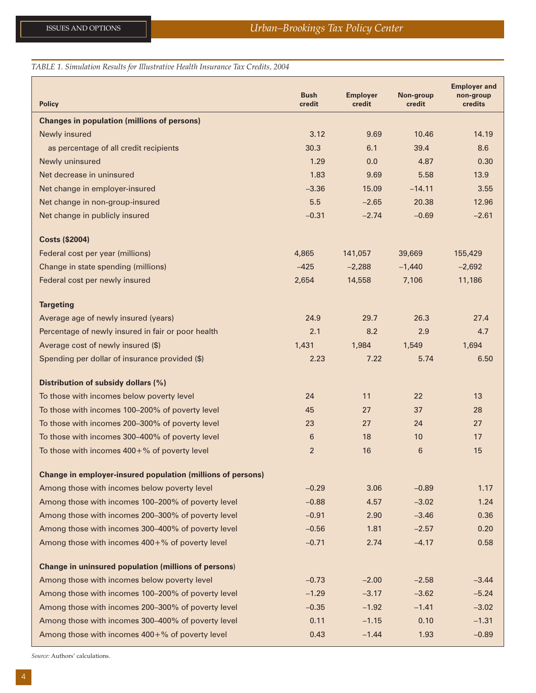#### *TABLE 1. Simulation Results for Illustrative Health Insurance Tax Credits, 2004*

| <b>Policy</b>                                               | <b>Bush</b><br>credit | <b>Employer</b><br>credit | Non-group<br>credit | <b>Employer and</b><br>non-group<br>credits |
|-------------------------------------------------------------|-----------------------|---------------------------|---------------------|---------------------------------------------|
| <b>Changes in population (millions of persons)</b>          |                       |                           |                     |                                             |
| Newly insured                                               | 3.12                  | 9.69                      | 10.46               | 14.19                                       |
| as percentage of all credit recipients                      | 30.3                  | 6.1                       | 39.4                | 8.6                                         |
| Newly uninsured                                             | 1.29                  | 0.0                       | 4.87                | 0.30                                        |
| Net decrease in uninsured                                   | 1.83                  | 9.69                      | 5.58                | 13.9                                        |
| Net change in employer-insured                              | $-3.36$               | 15.09                     | $-14.11$            | 3.55                                        |
| Net change in non-group-insured                             | 5.5                   | $-2.65$                   | 20.38               | 12.96                                       |
| Net change in publicly insured                              | $-0.31$               | $-2.74$                   | $-0.69$             | $-2.61$                                     |
| <b>Costs (\$2004)</b>                                       |                       |                           |                     |                                             |
| Federal cost per year (millions)                            | 4,865                 | 141,057                   | 39,669              | 155,429                                     |
| Change in state spending (millions)                         | $-425$                | $-2,288$                  | $-1,440$            | $-2,692$                                    |
| Federal cost per newly insured                              | 2,654                 | 14,558                    | 7,106               | 11,186                                      |
| <b>Targeting</b>                                            |                       |                           |                     |                                             |
| Average age of newly insured (years)                        | 24.9                  | 29.7                      | 26.3                | 27.4                                        |
| Percentage of newly insured in fair or poor health          | 2.1                   | 8.2                       | 2.9                 | 4.7                                         |
| Average cost of newly insured (\$)                          | 1,431                 | 1,984                     | 1,549               | 1,694                                       |
| Spending per dollar of insurance provided (\$)              | 2.23                  | 7.22                      | 5.74                | 6.50                                        |
| Distribution of subsidy dollars (%)                         |                       |                           |                     |                                             |
| To those with incomes below poverty level                   | 24                    | 11                        | 22                  | 13                                          |
| To those with incomes 100-200% of poverty level             | 45                    | 27                        | 37                  | 28                                          |
| To those with incomes 200–300% of poverty level             | 23                    | 27                        | 24                  | 27                                          |
| To those with incomes 300–400% of poverty level             | 6                     | 18                        | 10                  | 17                                          |
| To those with incomes $400 + %$ of poverty level            | 2                     | 16                        | 6                   | 15                                          |
| Change in employer-insured population (millions of persons) |                       |                           |                     |                                             |
| Among those with incomes below poverty level                | $-0.29$               | 3.06                      | $-0.89$             | 1.17                                        |
| Among those with incomes 100-200% of poverty level          | $-0.88$               | 4.57                      | $-3.02$             | 1.24                                        |
| Among those with incomes 200-300% of poverty level          | $-0.91$               | 2.90                      | $-3.46$             | 0.36                                        |
| Among those with incomes 300-400% of poverty level          | $-0.56$               | 1.81                      | $-2.57$             | 0.20                                        |
| Among those with incomes 400+% of poverty level             | $-0.71$               | 2.74                      | $-4.17$             | 0.58                                        |
| <b>Change in uninsured population (millions of persons)</b> |                       |                           |                     |                                             |
| Among those with incomes below poverty level                | $-0.73$               | $-2.00$                   | $-2.58$             | $-3.44$                                     |
| Among those with incomes 100-200% of poverty level          | $-1.29$               | $-3.17$                   | $-3.62$             | $-5.24$                                     |
| Among those with incomes 200-300% of poverty level          | $-0.35$               | $-1.92$                   | $-1.41$             | $-3.02$                                     |
| Among those with incomes 300-400% of poverty level          | 0.11                  | $-1.15$                   | 0.10                | $-1.31$                                     |
| Among those with incomes 400+% of poverty level             | 0.43                  | $-1.44$                   | 1.93                | $-0.89$                                     |

*Source:* Authors' calculations.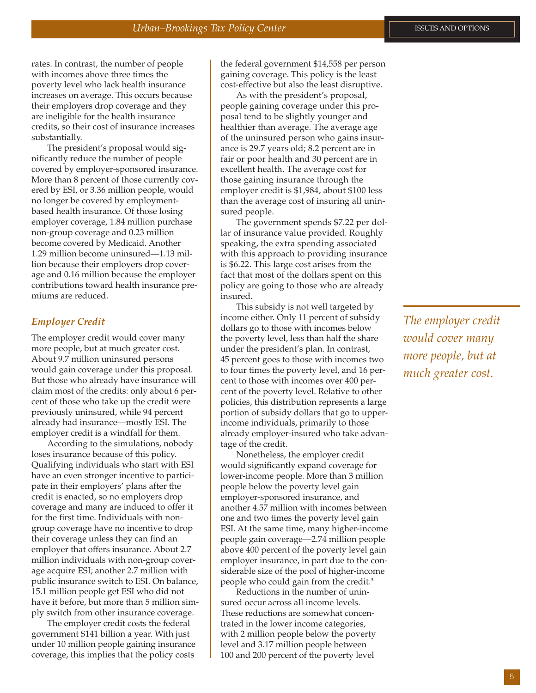rates. In contrast, the number of people with incomes above three times the poverty level who lack health insurance increases on average. This occurs because their employers drop coverage and they are ineligible for the health insurance credits, so their cost of insurance increases substantially.

The president's proposal would significantly reduce the number of people covered by employer-sponsored insurance. More than 8 percent of those currently covered by ESI, or 3.36 million people, would no longer be covered by employmentbased health insurance. Of those losing employer coverage, 1.84 million purchase non-group coverage and 0.23 million become covered by Medicaid. Another 1.29 million become uninsured—1.13 million because their employers drop coverage and 0.16 million because the employer contributions toward health insurance premiums are reduced.

#### *Employer Credit*

The employer credit would cover many more people, but at much greater cost. About 9.7 million uninsured persons would gain coverage under this proposal. But those who already have insurance will claim most of the credits: only about 6 percent of those who take up the credit were previously uninsured, while 94 percent already had insurance—mostly ESI. The employer credit is a windfall for them.

According to the simulations, nobody loses insurance because of this policy. Qualifying individuals who start with ESI have an even stronger incentive to participate in their employers' plans after the credit is enacted, so no employers drop coverage and many are induced to offer it for the first time. Individuals with nongroup coverage have no incentive to drop their coverage unless they can find an employer that offers insurance. About 2.7 million individuals with non-group coverage acquire ESI; another 2.7 million with public insurance switch to ESI. On balance, 15.1 million people get ESI who did not have it before, but more than 5 million simply switch from other insurance coverage.

The employer credit costs the federal government \$141 billion a year. With just under 10 million people gaining insurance coverage, this implies that the policy costs

the federal government \$14,558 per person gaining coverage. This policy is the least cost-effective but also the least disruptive.

As with the president's proposal, people gaining coverage under this proposal tend to be slightly younger and healthier than average. The average age of the uninsured person who gains insurance is 29.7 years old; 8.2 percent are in fair or poor health and 30 percent are in excellent health. The average cost for those gaining insurance through the employer credit is \$1,984, about \$100 less than the average cost of insuring all uninsured people.

The government spends \$7.22 per dollar of insurance value provided. Roughly speaking, the extra spending associated with this approach to providing insurance is \$6.22. This large cost arises from the fact that most of the dollars spent on this policy are going to those who are already insured.

This subsidy is not well targeted by income either. Only 11 percent of subsidy dollars go to those with incomes below the poverty level, less than half the share under the president's plan. In contrast, 45 percent goes to those with incomes two to four times the poverty level, and 16 percent to those with incomes over 400 percent of the poverty level. Relative to other policies, this distribution represents a large portion of subsidy dollars that go to upperincome individuals, primarily to those already employer-insured who take advantage of the credit.

Nonetheless, the employer credit would significantly expand coverage for lower-income people. More than 3 million people below the poverty level gain employer-sponsored insurance, and another 4.57 million with incomes between one and two times the poverty level gain ESI. At the same time, many higher-income people gain coverage—2.74 million people above 400 percent of the poverty level gain employer insurance, in part due to the considerable size of the pool of higher-income people who could gain from the credit.<sup>3</sup>

Reductions in the number of uninsured occur across all income levels. These reductions are somewhat concentrated in the lower income categories, with 2 million people below the poverty level and 3.17 million people between 100 and 200 percent of the poverty level

*The employer credit would cover many more people, but at much greater cost.*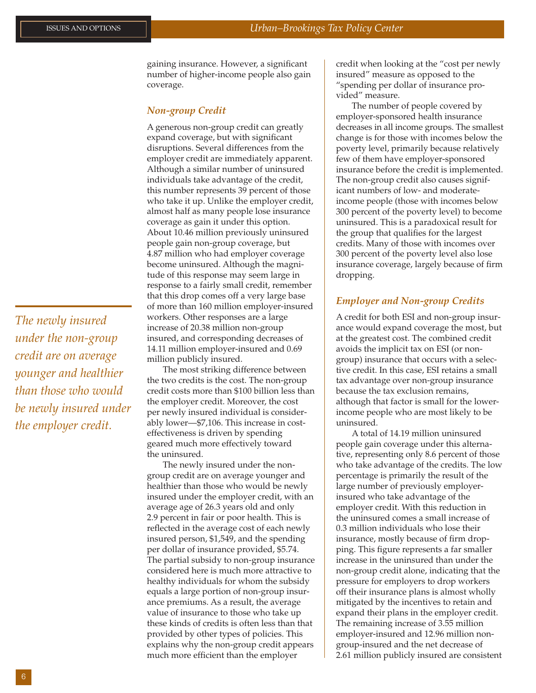*The newly insured under the non-group credit are on average younger and healthier than those who would be newly insured under the employer credit.*

gaining insurance. However, a significant number of higher-income people also gain coverage.

#### *Non-group Credit*

A generous non-group credit can greatly expand coverage, but with significant disruptions. Several differences from the employer credit are immediately apparent. Although a similar number of uninsured individuals take advantage of the credit, this number represents 39 percent of those who take it up. Unlike the employer credit, almost half as many people lose insurance coverage as gain it under this option. About 10.46 million previously uninsured people gain non-group coverage, but 4.87 million who had employer coverage become uninsured. Although the magnitude of this response may seem large in response to a fairly small credit, remember that this drop comes off a very large base of more than 160 million employer-insured workers. Other responses are a large increase of 20.38 million non-group insured, and corresponding decreases of 14.11 million employer-insured and 0.69 million publicly insured.

The most striking difference between the two credits is the cost. The non-group credit costs more than \$100 billion less than the employer credit. Moreover, the cost per newly insured individual is considerably lower—\$7,106. This increase in costeffectiveness is driven by spending geared much more effectively toward the uninsured.

The newly insured under the nongroup credit are on average younger and healthier than those who would be newly insured under the employer credit, with an average age of 26.3 years old and only 2.9 percent in fair or poor health. This is reflected in the average cost of each newly insured person, \$1,549, and the spending per dollar of insurance provided, \$5.74. The partial subsidy to non-group insurance considered here is much more attractive to healthy individuals for whom the subsidy equals a large portion of non-group insurance premiums. As a result, the average value of insurance to those who take up these kinds of credits is often less than that provided by other types of policies. This explains why the non-group credit appears much more efficient than the employer

credit when looking at the "cost per newly insured" measure as opposed to the "spending per dollar of insurance provided" measure.

The number of people covered by employer-sponsored health insurance decreases in all income groups. The smallest change is for those with incomes below the poverty level, primarily because relatively few of them have employer-sponsored insurance before the credit is implemented. The non-group credit also causes significant numbers of low- and moderateincome people (those with incomes below 300 percent of the poverty level) to become uninsured. This is a paradoxical result for the group that qualifies for the largest credits. Many of those with incomes over 300 percent of the poverty level also lose insurance coverage, largely because of firm dropping.

#### *Employer and Non-group Credits*

A credit for both ESI and non-group insurance would expand coverage the most, but at the greatest cost. The combined credit avoids the implicit tax on ESI (or nongroup) insurance that occurs with a selective credit. In this case, ESI retains a small tax advantage over non-group insurance because the tax exclusion remains, although that factor is small for the lowerincome people who are most likely to be uninsured.

A total of 14.19 million uninsured people gain coverage under this alternative, representing only 8.6 percent of those who take advantage of the credits. The low percentage is primarily the result of the large number of previously employerinsured who take advantage of the employer credit. With this reduction in the uninsured comes a small increase of 0.3 million individuals who lose their insurance, mostly because of firm dropping. This figure represents a far smaller increase in the uninsured than under the non-group credit alone, indicating that the pressure for employers to drop workers off their insurance plans is almost wholly mitigated by the incentives to retain and expand their plans in the employer credit. The remaining increase of 3.55 million employer-insured and 12.96 million nongroup-insured and the net decrease of 2.61 million publicly insured are consistent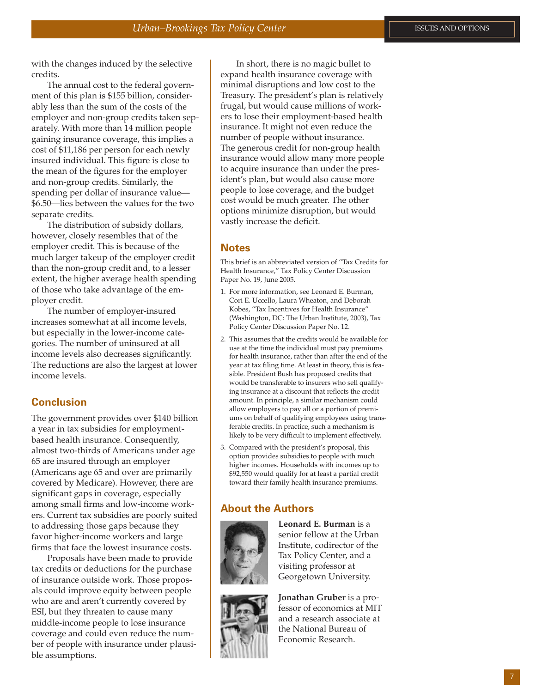with the changes induced by the selective credits.

The annual cost to the federal government of this plan is \$155 billion, considerably less than the sum of the costs of the employer and non-group credits taken separately. With more than 14 million people gaining insurance coverage, this implies a cost of \$11,186 per person for each newly insured individual. This figure is close to the mean of the figures for the employer and non-group credits. Similarly, the spending per dollar of insurance value— \$6.50—lies between the values for the two separate credits.

The distribution of subsidy dollars, however, closely resembles that of the employer credit. This is because of the much larger takeup of the employer credit than the non-group credit and, to a lesser extent, the higher average health spending of those who take advantage of the employer credit.

The number of employer-insured increases somewhat at all income levels, but especially in the lower-income categories. The number of uninsured at all income levels also decreases significantly. The reductions are also the largest at lower income levels.

#### **Conclusion**

The government provides over \$140 billion a year in tax subsidies for employmentbased health insurance. Consequently, almost two-thirds of Americans under age 65 are insured through an employer (Americans age 65 and over are primarily covered by Medicare). However, there are significant gaps in coverage, especially among small firms and low-income workers. Current tax subsidies are poorly suited to addressing those gaps because they favor higher-income workers and large firms that face the lowest insurance costs.

Proposals have been made to provide tax credits or deductions for the purchase of insurance outside work. Those proposals could improve equity between people who are and aren't currently covered by ESI, but they threaten to cause many middle-income people to lose insurance coverage and could even reduce the number of people with insurance under plausible assumptions.

In short, there is no magic bullet to expand health insurance coverage with minimal disruptions and low cost to the Treasury. The president's plan is relatively frugal, but would cause millions of workers to lose their employment-based health insurance. It might not even reduce the number of people without insurance. The generous credit for non-group health insurance would allow many more people to acquire insurance than under the president's plan, but would also cause more people to lose coverage, and the budget cost would be much greater. The other options minimize disruption, but would vastly increase the deficit.

#### **Notes**

This brief is an abbreviated version of "Tax Credits for Health Insurance," Tax Policy Center Discussion Paper No. 19, June 2005.

- 1. For more information, see Leonard E. Burman, Cori E. Uccello, Laura Wheaton, and Deborah Kobes, "Tax Incentives for Health Insurance" (Washington, DC: The Urban Institute, 2003), Tax Policy Center Discussion Paper No. 12.
- 2. This assumes that the credits would be available for use at the time the individual must pay premiums for health insurance, rather than after the end of the year at tax filing time. At least in theory, this is feasible. President Bush has proposed credits that would be transferable to insurers who sell qualifying insurance at a discount that reflects the credit amount. In principle, a similar mechanism could allow employers to pay all or a portion of premiums on behalf of qualifying employees using transferable credits. In practice, such a mechanism is likely to be very difficult to implement effectively.
- 3. Compared with the president's proposal, this option provides subsidies to people with much higher incomes. Households with incomes up to \$92,550 would qualify for at least a partial credit toward their family health insurance premiums.

#### **About the Authors**



**Leonard E. Burman** is a senior fellow at the Urban Institute, codirector of the Tax Policy Center, and a visiting professor at Georgetown University.



**Jonathan Gruber** is a professor of economics at MIT and a research associate at the National Bureau of Economic Research.